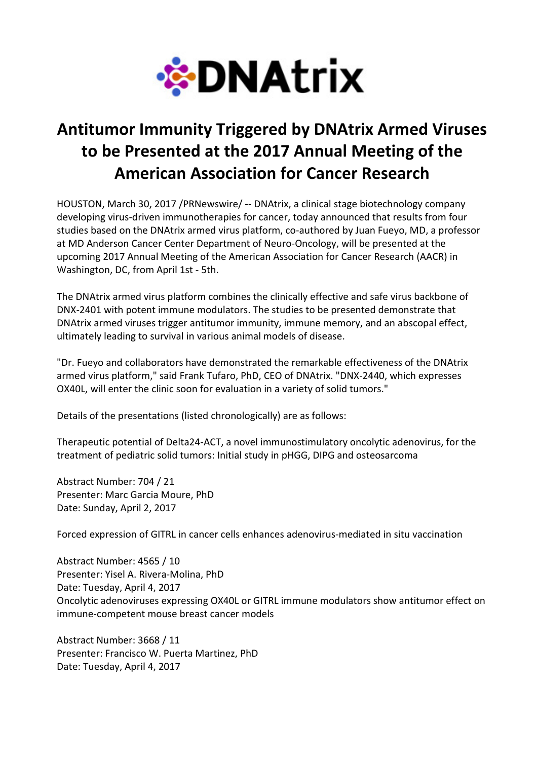

## Antitumor Immunity Triggered by DNAtrix Armed Viruses to be Presented at the 2017 Annual Meeting of the American Association for Cancer Research

HOUSTON, March 30, 2017 /PRNewswire/ -- DNAtrix, a clinical stage biotechnology company developing virus-driven immunotherapies for cancer, today announced that results from four studies based on the DNAtrix armed virus platform, co-authored by Juan Fueyo, MD, a professor at MD Anderson Cancer Center Department of Neuro-Oncology, will be presented at the upcoming 2017 Annual Meeting of the American Association for Cancer Research (AACR) in Washington, DC, from April 1st - 5th.

The DNAtrix armed virus platform combines the clinically effective and safe virus backbone of DNX-2401 with potent immune modulators. The studies to be presented demonstrate that DNAtrix armed viruses trigger antitumor immunity, immune memory, and an abscopal effect, ultimately leading to survival in various animal models of disease.

"Dr. Fueyo and collaborators have demonstrated the remarkable effectiveness of the DNAtrix armed virus platform," said Frank Tufaro, PhD, CEO of DNAtrix. "DNX-2440, which expresses OX40L, will enter the clinic soon for evaluation in a variety of solid tumors."

Details of the presentations (listed chronologically) are as follows:

Therapeutic potential of Delta24-ACT, a novel immunostimulatory oncolytic adenovirus, for the treatment of pediatric solid tumors: Initial study in pHGG, DIPG and osteosarcoma

Abstract Number: 704 / 21 Presenter: Marc Garcia Moure, PhD Date: Sunday, April 2, 2017

Forced expression of GITRL in cancer cells enhances adenovirus-mediated in situ vaccination

Abstract Number: 4565 / 10 Presenter: Yisel A. Rivera-Molina, PhD Date: Tuesday, April 4, 2017 Oncolytic adenoviruses expressing OX40L or GITRL immune modulators show antitumor effect on immune-competent mouse breast cancer models

Abstract Number: 3668 / 11 Presenter: Francisco W. Puerta Martinez, PhD Date: Tuesday, April 4, 2017